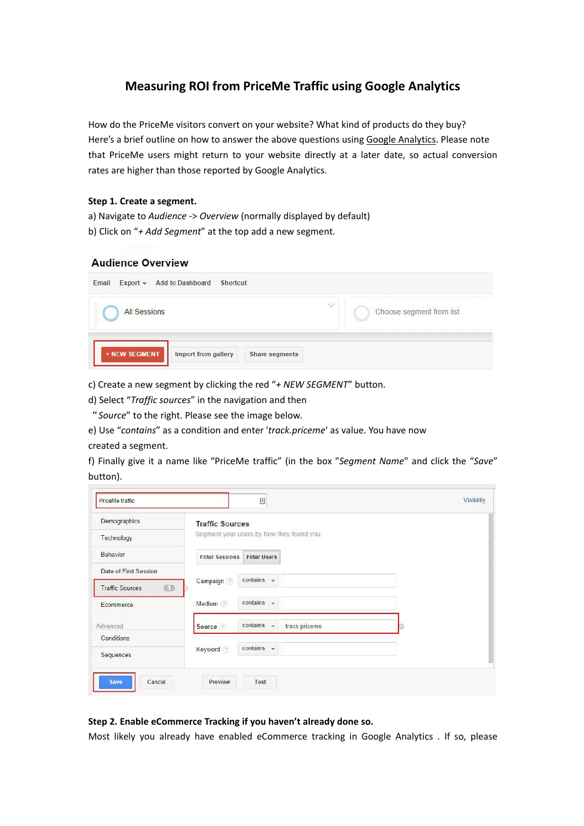# **Measuring ROI from PriceMe Traffic using Google Analytics**

How do the PriceMe visitors convert on your website? What kind of products do they buy? Here's a brief outline on how to answer the above questions using Google Analytics. Please note that PriceMe users might return to your website directly at a later date, so actual conversion rates are higher than those reported by Google Analytics.

#### **Step 1. Create a segment.**

a) Navigate to *Audience* -> *Overview* (normally displayed by default)

b) Click on "*+ Add Segment*" at the top add a new segment.

## **Audience Overview**

c) Create a new segment by clicking the red "*+ NEW SEGMENT*" button.

d) Select "*Traffic sources*" in the navigation and then

"*Source*" to the right. Please see the image below.

e) Use "*contains*" as a condition and enter '*track.priceme*' as value. You have now

### created a segment.

f) Finally give it a name like "PriceMe traffic" (in the box "*Segment Name*" and click the "*Save*" button).

| Demographics                 | <b>Traffic Sources</b>                                  |  |  |
|------------------------------|---------------------------------------------------------|--|--|
| Technology                   | Segment your users by how they found you.               |  |  |
| Behavior                     | <b>Filter Sessions</b><br><b>Filter Users</b>           |  |  |
| Date of First Session        |                                                         |  |  |
| 63<br><b>Traffic Sources</b> | contains $\sim$<br>Campaign ?                           |  |  |
| Ecommerce                    | contains $\sim$<br>Medium ?                             |  |  |
| Advanced                     | contains $\sim$<br>track.priceme<br>Source <sup>?</sup> |  |  |
| Conditions                   |                                                         |  |  |
| Sequences                    | $contains$ $\rightarrow$<br>Keyword ?                   |  |  |

# **Step 2. Enable eCommerce Tracking if you haven't already done so.**

Most likely you already have enabled eCommerce tracking in Google Analytics . If so, please